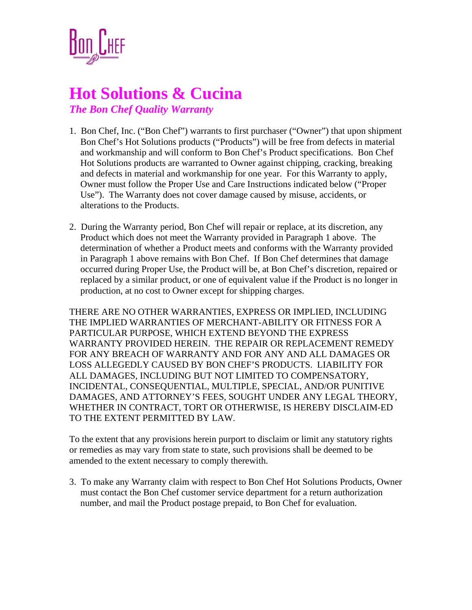

## **Hot Solutions & Cucina**

*The Bon Chef Quality Warranty*

- 1. Bon Chef, Inc. ("Bon Chef") warrants to first purchaser ("Owner") that upon shipment Bon Chef's Hot Solutions products ("Products") will be free from defects in material and workmanship and will conform to Bon Chef's Product specifications. Bon Chef Hot Solutions products are warranted to Owner against chipping, cracking, breaking and defects in material and workmanship for one year. For this Warranty to apply, Owner must follow the Proper Use and Care Instructions indicated below ("Proper Use"). The Warranty does not cover damage caused by misuse, accidents, or alterations to the Products.
- 2. During the Warranty period, Bon Chef will repair or replace, at its discretion, any Product which does not meet the Warranty provided in Paragraph 1 above. The determination of whether a Product meets and conforms with the Warranty provided in Paragraph 1 above remains with Bon Chef. If Bon Chef determines that damage occurred during Proper Use, the Product will be, at Bon Chef's discretion, repaired or replaced by a similar product, or one of equivalent value if the Product is no longer in production, at no cost to Owner except for shipping charges.

THERE ARE NO OTHER WARRANTIES, EXPRESS OR IMPLIED, INCLUDING THE IMPLIED WARRANTIES OF MERCHANT-ABILITY OR FITNESS FOR A PARTICULAR PURPOSE, WHICH EXTEND BEYOND THE EXPRESS WARRANTY PROVIDED HEREIN. THE REPAIR OR REPLACEMENT REMEDY FOR ANY BREACH OF WARRANTY AND FOR ANY AND ALL DAMAGES OR LOSS ALLEGEDLY CAUSED BY BON CHEF'S PRODUCTS. LIABILITY FOR ALL DAMAGES, INCLUDING BUT NOT LIMITED TO COMPENSATORY, INCIDENTAL, CONSEQUENTIAL, MULTIPLE, SPECIAL, AND/OR PUNITIVE DAMAGES, AND ATTORNEY'S FEES, SOUGHT UNDER ANY LEGAL THEORY, WHETHER IN CONTRACT, TORT OR OTHERWISE, IS HEREBY DISCLAIM-ED TO THE EXTENT PERMITTED BY LAW.

To the extent that any provisions herein purport to disclaim or limit any statutory rights or remedies as may vary from state to state, such provisions shall be deemed to be amended to the extent necessary to comply therewith.

3. To make any Warranty claim with respect to Bon Chef Hot Solutions Products, Owner must contact the Bon Chef customer service department for a return authorization number, and mail the Product postage prepaid, to Bon Chef for evaluation.